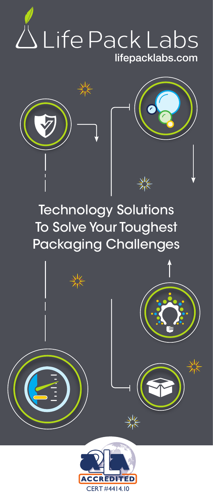



# Technology Solutions To Solve Your Toughest Packaging Challenges

 $\frac{2}{\sqrt[3]{\kappa}}$